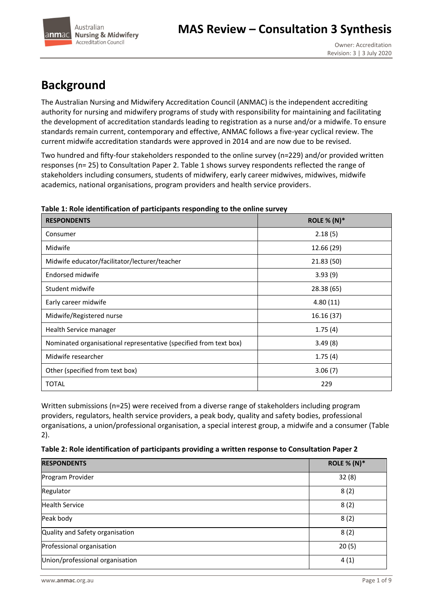



# **Background**

The Australian Nursing and Midwifery Accreditation Council (ANMAC) is the independent accrediting authority for nursing and midwifery programs of study with responsibility for maintaining and facilitating the development of accreditation standards leading to registration as a nurse and/or a midwife. To ensure standards remain current, contemporary and effective, ANMAC follows a five-year cyclical review. The current midwife accreditation standards were approved in 2014 and are now due to be revised.

Two hundred and fifty-four stakeholders responded to the online survey (n=229) and/or provided written responses (n= 25) to Consultation Paper 2. Table 1 shows survey respondents reflected the range of stakeholders including consumers, students of midwifery, early career midwives, midwives, midwife academics, national organisations, program providers and health service providers.

| <b>RESPONDENTS</b>                                                | <b>ROLE % (N)*</b> |
|-------------------------------------------------------------------|--------------------|
| Consumer                                                          | 2.18(5)            |
| Midwife                                                           | 12.66 (29)         |
| Midwife educator/facilitator/lecturer/teacher                     | 21.83(50)          |
| Endorsed midwife                                                  | 3.93(9)            |
| Student midwife                                                   | 28.38 (65)         |
| Early career midwife                                              | 4.80(11)           |
| Midwife/Registered nurse                                          | 16.16(37)          |
| Health Service manager                                            | 1.75(4)            |
| Nominated organisational representative (specified from text box) | 3.49(8)            |
| Midwife researcher                                                | 1.75(4)            |
| Other (specified from text box)                                   | 3.06(7)            |
| <b>TOTAL</b>                                                      | 229                |

## **Table 1: Role identification of participants responding to the online survey**

Written submissions (n=25) were received from a diverse range of stakeholders including program providers, regulators, health service providers, a peak body, quality and safety bodies, professional organisations, a union/professional organisation, a special interest group, a midwife and a consumer (Table 2).

|  | Table 2: Role identification of participants providing a written response to Consultation Paper 2 |  |
|--|---------------------------------------------------------------------------------------------------|--|
|--|---------------------------------------------------------------------------------------------------|--|

| <b>RESPONDENTS</b>              | <b>ROLE % (N)*</b> |
|---------------------------------|--------------------|
| Program Provider                | 32(8)              |
| Regulator                       | 8(2)               |
| <b>Health Service</b>           | 8(2)               |
| Peak body                       | 8(2)               |
| Quality and Safety organisation | 8(2)               |
| Professional organisation       | 20(5)              |
| Union/professional organisation | 4(1)               |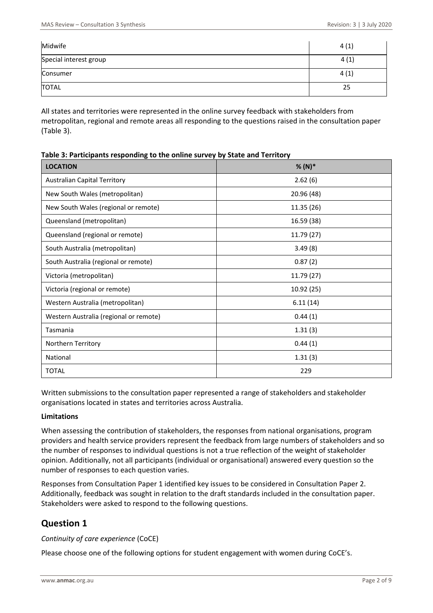| Midwife                | 4(1) |
|------------------------|------|
| Special interest group | 4(1) |
| Consumer               | 4(1) |
| <b>TOTAL</b>           | 25   |

All states and territories were represented in the online survey feedback with stakeholders from metropolitan, regional and remote areas all responding to the questions raised in the consultation paper (Table 3).

| <b>LOCATION</b>                        | $% (N)*$   |
|----------------------------------------|------------|
| <b>Australian Capital Territory</b>    | 2.62(6)    |
| New South Wales (metropolitan)         | 20.96 (48) |
| New South Wales (regional or remote)   | 11.35 (26) |
| Queensland (metropolitan)              | 16.59 (38) |
| Queensland (regional or remote)        | 11.79 (27) |
| South Australia (metropolitan)         | 3.49(8)    |
| South Australia (regional or remote)   | 0.87(2)    |
| Victoria (metropolitan)                | 11.79 (27) |
| Victoria (regional or remote)          | 10.92 (25) |
| Western Australia (metropolitan)       | 6.11(14)   |
| Western Australia (regional or remote) | 0.44(1)    |
| Tasmania                               | 1.31(3)    |
| Northern Territory                     | 0.44(1)    |
| National                               | 1.31(3)    |
| <b>TOTAL</b>                           | 229        |

Written submissions to the consultation paper represented a range of stakeholders and stakeholder organisations located in states and territories across Australia.

## **Limitations**

When assessing the contribution of stakeholders, the responses from national organisations, program providers and health service providers represent the feedback from large numbers of stakeholders and so the number of responses to individual questions is not a true reflection of the weight of stakeholder opinion. Additionally, not all participants (individual or organisational) answered every question so the number of responses to each question varies.

Responses from Consultation Paper 1 identified key issues to be considered in Consultation Paper 2. Additionally, feedback was sought in relation to the draft standards included in the consultation paper. Stakeholders were asked to respond to the following questions.

# **Question 1**

## *Continuity of care experience* (CoCE)

Please choose one of the following options for student engagement with women during CoCE's.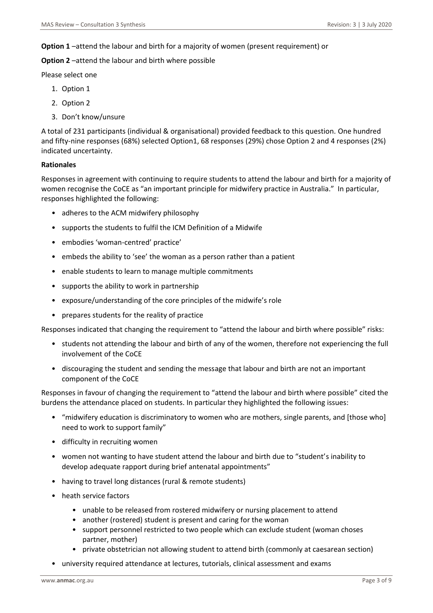### **Option 1** –attend the labour and birth for a majority of women (present requirement) or

**Option 2** –attend the labour and birth where possible

Please select one

- 1. Option 1
- 2. Option 2
- 3. Don't know/unsure

A total of 231 participants (individual & organisational) provided feedback to this question. One hundred and fifty-nine responses (68%) selected Option1, 68 responses (29%) chose Option 2 and 4 responses (2%) indicated uncertainty.

#### **Rationales**

Responses in agreement with continuing to require students to attend the labour and birth for a majority of women recognise the CoCE as "an important principle for midwifery practice in Australia." In particular, responses highlighted the following:

- adheres to the ACM midwifery philosophy
- supports the students to fulfil the ICM Definition of a Midwife
- embodies 'woman-centred' practice'
- embeds the ability to 'see' the woman as a person rather than a patient
- enable students to learn to manage multiple commitments
- supports the ability to work in partnership
- exposure/understanding of the core principles of the midwife's role
- prepares students for the reality of practice

Responses indicated that changing the requirement to "attend the labour and birth where possible" risks:

- students not attending the labour and birth of any of the women, therefore not experiencing the full involvement of the CoCE
- discouraging the student and sending the message that labour and birth are not an important component of the CoCE

Responses in favour of changing the requirement to "attend the labour and birth where possible" cited the burdens the attendance placed on students. In particular they highlighted the following issues:

- "midwifery education is discriminatory to women who are mothers, single parents, and [those who] need to work to support family"
- difficulty in recruiting women
- women not wanting to have student attend the labour and birth due to "student's inability to develop adequate rapport during brief antenatal appointments"
- having to travel long distances (rural & remote students)
- heath service factors
	- unable to be released from rostered midwifery or nursing placement to attend
	- another (rostered) student is present and caring for the woman
	- support personnel restricted to two people which can exclude student (woman choses partner, mother)
	- private obstetrician not allowing student to attend birth (commonly at caesarean section)
- university required attendance at lectures, tutorials, clinical assessment and exams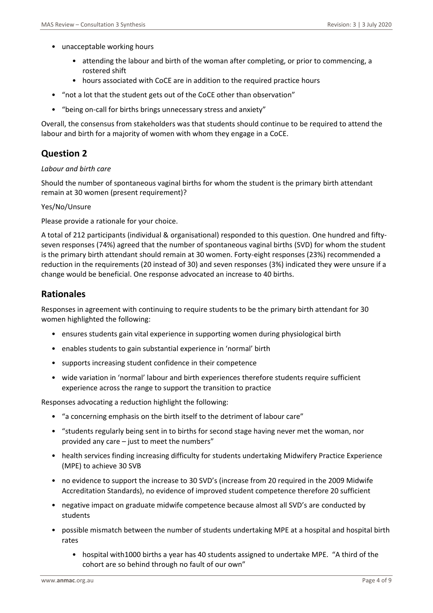- unacceptable working hours
	- attending the labour and birth of the woman after completing, or prior to commencing, a rostered shift
	- hours associated with CoCE are in addition to the required practice hours
- "not a lot that the student gets out of the CoCE other than observation"
- "being on-call for births brings unnecessary stress and anxiety"

Overall, the consensus from stakeholders was that students should continue to be required to attend the labour and birth for a majority of women with whom they engage in a CoCE.

# **Question 2**

## *Labour and birth care*

Should the number of spontaneous vaginal births for whom the student is the primary birth attendant remain at 30 women (present requirement)?

## Yes/No/Unsure

Please provide a rationale for your choice.

A total of 212 participants (individual & organisational) responded to this question. One hundred and fiftyseven responses (74%) agreed that the number of spontaneous vaginal births (SVD) for whom the student is the primary birth attendant should remain at 30 women. Forty-eight responses (23%) recommended a reduction in the requirements (20 instead of 30) and seven responses (3%) indicated they were unsure if a change would be beneficial. One response advocated an increase to 40 births.

## **Rationales**

Responses in agreement with continuing to require students to be the primary birth attendant for 30 women highlighted the following:

- ensures students gain vital experience in supporting women during physiological birth
- enables students to gain substantial experience in 'normal' birth
- supports increasing student confidence in their competence
- wide variation in 'normal' labour and birth experiences therefore students require sufficient experience across the range to support the transition to practice

Responses advocating a reduction highlight the following:

- "a concerning emphasis on the birth itself to the detriment of labour care"
- "students regularly being sent in to births for second stage having never met the woman, nor provided any care – just to meet the numbers"
- health services finding increasing difficulty for students undertaking Midwifery Practice Experience (MPE) to achieve 30 SVB
- no evidence to support the increase to 30 SVD's (increase from 20 required in the 2009 Midwife Accreditation Standards), no evidence of improved student competence therefore 20 sufficient
- negative impact on graduate midwife competence because almost all SVD's are conducted by students
- possible mismatch between the number of students undertaking MPE at a hospital and hospital birth rates
	- hospital with1000 births a year has 40 students assigned to undertake MPE. "A third of the cohort are so behind through no fault of our own"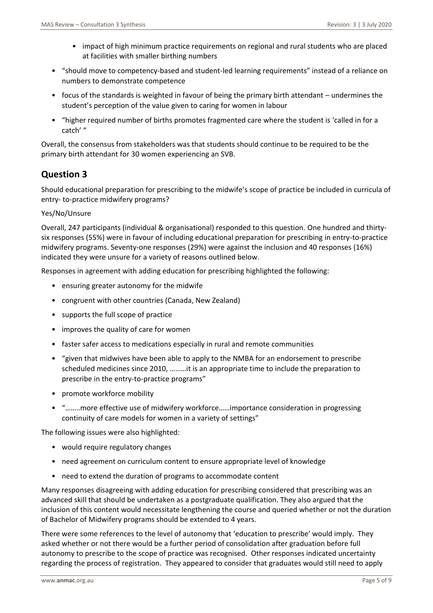- impact of high minimum practice requirements on regional and rural students who are placed at facilities with smaller birthing numbers
- "should move to competency-based and student-led learning requirements" instead of a reliance on numbers to demonstrate competence
- focus of the standards is weighted in favour of being the primary birth attendant undermines the student's perception of the value given to caring for women in labour
- "higher required number of births promotes fragmented care where the student is 'called in for a catch' "

Overall, the consensus from stakeholders was that students should continue to be required to be the primary birth attendant for 30 women experiencing an SVB.

# **Question 3**

Should educational preparation for prescribing to the midwife's scope of practice be included in curricula of entry- to-practice midwifery programs?

## Yes/No/Unsure

Overall, 247 participants (individual & organisational) responded to this question. One hundred and thirtysix responses (55%) were in favour of including educational preparation for prescribing in entry-to-practice midwifery programs. Seventy-one responses (29%) were against the inclusion and 40 responses (16%) indicated they were unsure for a variety of reasons outlined below.

Responses in agreement with adding education for prescribing highlighted the following:

- ensuring greater autonomy for the midwife
- congruent with other countries (Canada, New Zealand)
- supports the full scope of practice
- improves the quality of care for women
- faster safer access to medications especially in rural and remote communities
- "given that midwives have been able to apply to the NMBA for an endorsement to prescribe scheduled medicines since 2010, ………it is an appropriate time to include the preparation to prescribe in the entry-to-practice programs"
- promote workforce mobility
- "……..more effective use of midwifery workforce……importance consideration in progressing continuity of care models for women in a variety of settings"

The following issues were also highlighted:

- would require regulatory changes
- need agreement on curriculum content to ensure appropriate level of knowledge
- need to extend the duration of programs to accommodate content

Many responses disagreeing with adding education for prescribing considered that prescribing was an advanced skill that should be undertaken as a postgraduate qualification. They also argued that the inclusion of this content would necessitate lengthening the course and queried whether or not the duration of Bachelor of Midwifery programs should be extended to 4 years.

There were some references to the level of autonomy that 'education to prescribe' would imply. They asked whether or not there would be a further period of consolidation after graduation before full autonomy to prescribe to the scope of practice was recognised. Other responses indicated uncertainty regarding the process of registration. They appeared to consider that graduates would still need to apply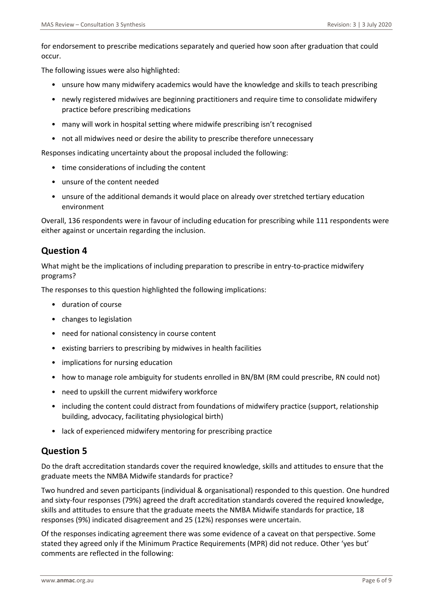for endorsement to prescribe medications separately and queried how soon after graduation that could occur.

The following issues were also highlighted:

- unsure how many midwifery academics would have the knowledge and skills to teach prescribing
- newly registered midwives are beginning practitioners and require time to consolidate midwifery practice before prescribing medications
- many will work in hospital setting where midwife prescribing isn't recognised
- not all midwives need or desire the ability to prescribe therefore unnecessary

Responses indicating uncertainty about the proposal included the following:

- time considerations of including the content
- unsure of the content needed
- unsure of the additional demands it would place on already over stretched tertiary education environment

Overall, 136 respondents were in favour of including education for prescribing while 111 respondents were either against or uncertain regarding the inclusion.

# **Question 4**

What might be the implications of including preparation to prescribe in entry-to-practice midwifery programs?

The responses to this question highlighted the following implications:

- duration of course
- changes to legislation
- need for national consistency in course content
- existing barriers to prescribing by midwives in health facilities
- implications for nursing education
- how to manage role ambiguity for students enrolled in BN/BM (RM could prescribe, RN could not)
- need to upskill the current midwifery workforce
- including the content could distract from foundations of midwifery practice (support, relationship building, advocacy, facilitating physiological birth)
- lack of experienced midwifery mentoring for prescribing practice

# **Question 5**

Do the draft accreditation standards cover the required knowledge, skills and attitudes to ensure that the graduate meets the NMBA Midwife standards for practice?

Two hundred and seven participants (individual & organisational) responded to this question. One hundred and sixty-four responses (79%) agreed the draft accreditation standards covered the required knowledge, skills and attitudes to ensure that the graduate meets the NMBA Midwife standards for practice, 18 responses (9%) indicated disagreement and 25 (12%) responses were uncertain.

Of the responses indicating agreement there was some evidence of a caveat on that perspective. Some stated they agreed only if the Minimum Practice Requirements (MPR) did not reduce. Other 'yes but' comments are reflected in the following: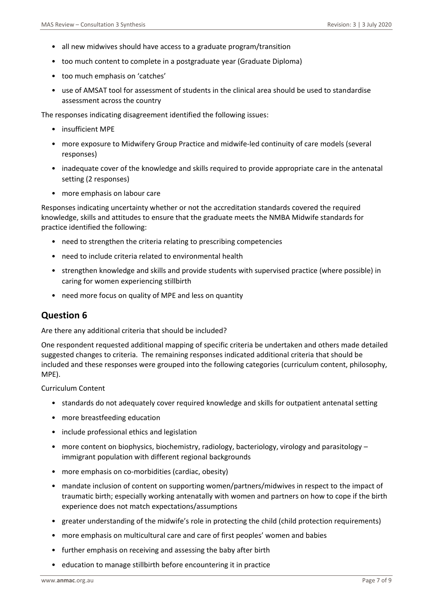- all new midwives should have access to a graduate program/transition
- too much content to complete in a postgraduate year (Graduate Diploma)
- too much emphasis on 'catches'
- use of AMSAT tool for assessment of students in the clinical area should be used to standardise assessment across the country

The responses indicating disagreement identified the following issues:

- insufficient MPE
- more exposure to Midwifery Group Practice and midwife-led continuity of care models (several responses)
- inadequate cover of the knowledge and skills required to provide appropriate care in the antenatal setting (2 responses)
- more emphasis on labour care

Responses indicating uncertainty whether or not the accreditation standards covered the required knowledge, skills and attitudes to ensure that the graduate meets the NMBA Midwife standards for practice identified the following:

- need to strengthen the criteria relating to prescribing competencies
- need to include criteria related to environmental health
- strengthen knowledge and skills and provide students with supervised practice (where possible) in caring for women experiencing stillbirth
- need more focus on quality of MPE and less on quantity

# **Question 6**

Are there any additional criteria that should be included?

One respondent requested additional mapping of specific criteria be undertaken and others made detailed suggested changes to criteria. The remaining responses indicated additional criteria that should be included and these responses were grouped into the following categories (curriculum content, philosophy, MPE).

Curriculum Content

- standards do not adequately cover required knowledge and skills for outpatient antenatal setting
- more breastfeeding education
- include professional ethics and legislation
- more content on biophysics, biochemistry, radiology, bacteriology, virology and parasitology immigrant population with different regional backgrounds
- more emphasis on co-morbidities (cardiac, obesity)
- mandate inclusion of content on supporting women/partners/midwives in respect to the impact of traumatic birth; especially working antenatally with women and partners on how to cope if the birth experience does not match expectations/assumptions
- greater understanding of the midwife's role in protecting the child (child protection requirements)
- more emphasis on multicultural care and care of first peoples' women and babies
- further emphasis on receiving and assessing the baby after birth
- education to manage stillbirth before encountering it in practice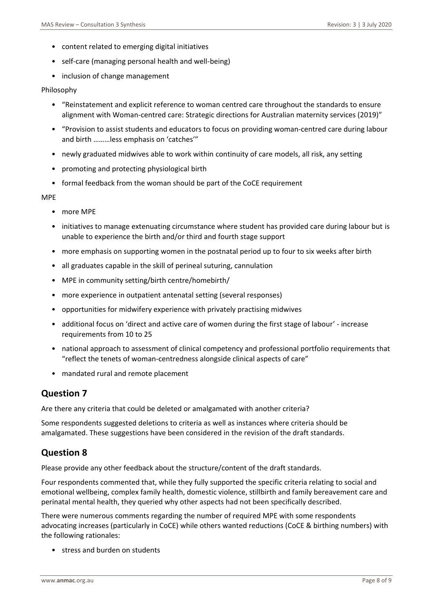- content related to emerging digital initiatives
- self-care (managing personal health and well-being)
- inclusion of change management

#### Philosophy

- "Reinstatement and explicit reference to woman centred care throughout the standards to ensure alignment with Woman-centred care: Strategic directions for Australian maternity services (2019)"
- "Provision to assist students and educators to focus on providing woman-centred care during labour and birth ………less emphasis on 'catches'"
- newly graduated midwives able to work within continuity of care models, all risk, any setting
- promoting and protecting physiological birth
- formal feedback from the woman should be part of the CoCE requirement

#### MPE

- more MPE
- initiatives to manage extenuating circumstance where student has provided care during labour but is unable to experience the birth and/or third and fourth stage support
- more emphasis on supporting women in the postnatal period up to four to six weeks after birth
- all graduates capable in the skill of perineal suturing, cannulation
- MPE in community setting/birth centre/homebirth/
- more experience in outpatient antenatal setting (several responses)
- opportunities for midwifery experience with privately practising midwives
- additional focus on 'direct and active care of women during the first stage of labour' increase requirements from 10 to 25
- national approach to assessment of clinical competency and professional portfolio requirements that "reflect the tenets of woman-centredness alongside clinical aspects of care"
- mandated rural and remote placement

## **Question 7**

Are there any criteria that could be deleted or amalgamated with another criteria?

Some respondents suggested deletions to criteria as well as instances where criteria should be amalgamated. These suggestions have been considered in the revision of the draft standards.

# **Question 8**

Please provide any other feedback about the structure/content of the draft standards.

Four respondents commented that, while they fully supported the specific criteria relating to social and emotional wellbeing, complex family health, domestic violence, stillbirth and family bereavement care and perinatal mental health, they queried why other aspects had not been specifically described.

There were numerous comments regarding the number of required MPE with some respondents advocating increases (particularly in CoCE) while others wanted reductions (CoCE & birthing numbers) with the following rationales:

• stress and burden on students